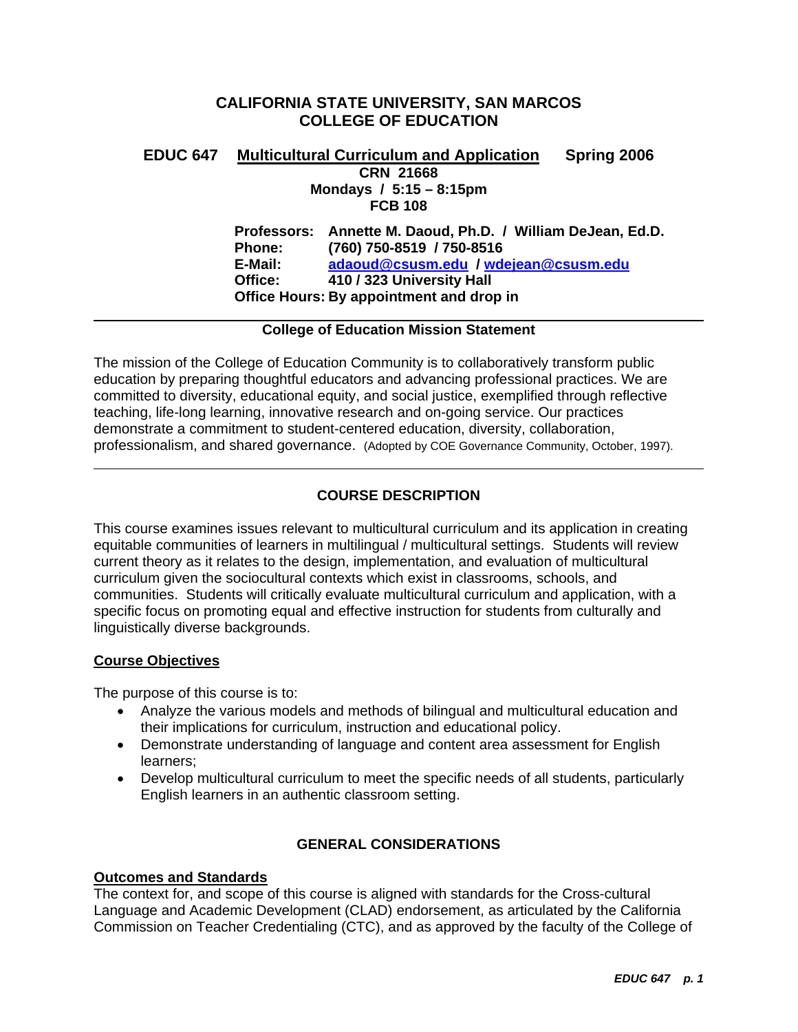# **CALIFORNIA STATE UNIVERSITY, SAN MARCOS COLLEGE OF EDUCATION**

# **EDUC 647 Multicultural Curriculum and Application Spring 2006 CRN 21668 Mondays / 5:15 – 8:15pm FCB 108**

**Professors: Annette M. Daoud, Ph.D. / William DeJean, Ed.D. Phone: (760) 750-8519 / 750-8516 E-Mail: adaoud@csusm.edu / wdejean@csusm.edu Office: 410 / 323 University Hall Office Hours: By appointment and drop in** 

# **College of Education Mission Statement**

The mission of the College of Education Community is to collaboratively transform public education by preparing thoughtful educators and advancing professional practices. We are committed to diversity, educational equity, and social justice, exemplified through reflective teaching, life-long learning, innovative research and on-going service. Our practices demonstrate a commitment to student-centered education, diversity, collaboration, professionalism, and shared governance. (Adopted by COE Governance Community, October, 1997).

# **COURSE DESCRIPTION**

This course examines issues relevant to multicultural curriculum and its application in creating equitable communities of learners in multilingual / multicultural settings. Students will review current theory as it relates to the design, implementation, and evaluation of multicultural curriculum given the sociocultural contexts which exist in classrooms, schools, and communities. Students will critically evaluate multicultural curriculum and application, with a specific focus on promoting equal and effective instruction for students from culturally and linguistically diverse backgrounds.

# **Course Objectives**

The purpose of this course is to:

- Analyze the various models and methods of bilingual and multicultural education and their implications for curriculum, instruction and educational policy.
- Demonstrate understanding of language and content area assessment for English learners;
- Develop multicultural curriculum to meet the specific needs of all students, particularly English learners in an authentic classroom setting.

# **GENERAL CONSIDERATIONS**

# **Outcomes and Standards**

The context for, and scope of this course is aligned with standards for the Cross-cultural Language and Academic Development (CLAD) endorsement, as articulated by the California Commission on Teacher Credentialing (CTC), and as approved by the faculty of the College of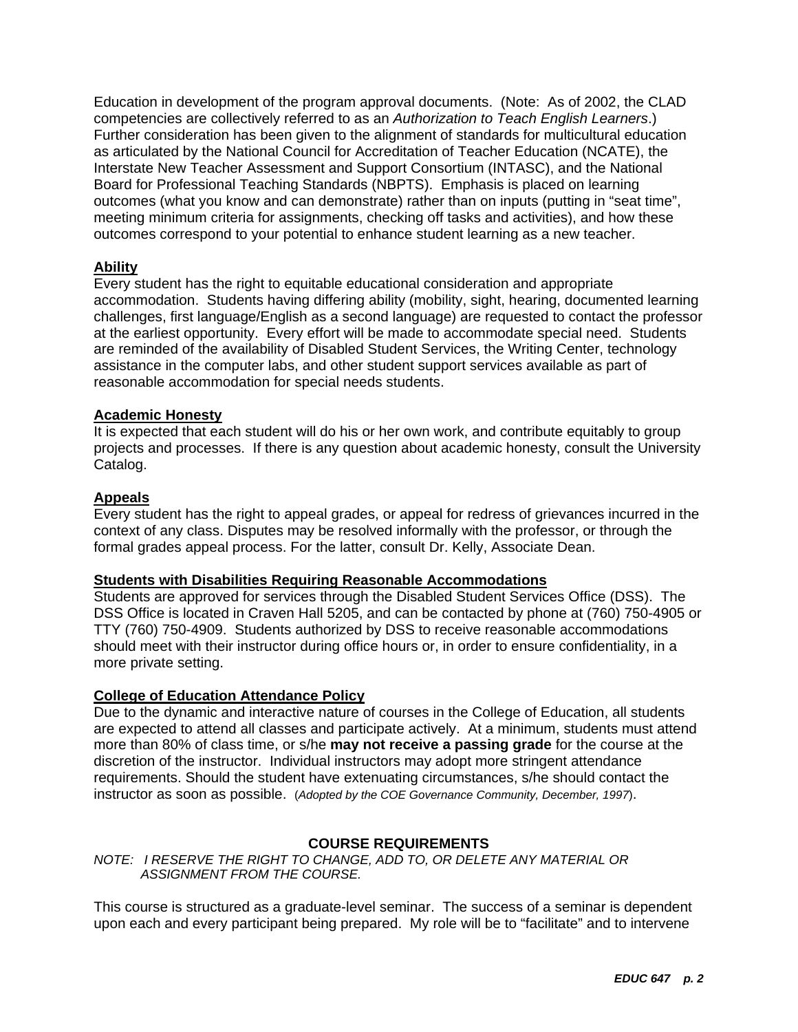Education in development of the program approval documents. (Note: As of 2002, the CLAD competencies are collectively referred to as an *Authorization to Teach English Learners*.) Further consideration has been given to the alignment of standards for multicultural education as articulated by the National Council for Accreditation of Teacher Education (NCATE), the Interstate New Teacher Assessment and Support Consortium (INTASC), and the National Board for Professional Teaching Standards (NBPTS). Emphasis is placed on learning outcomes (what you know and can demonstrate) rather than on inputs (putting in "seat time", meeting minimum criteria for assignments, checking off tasks and activities), and how these outcomes correspond to your potential to enhance student learning as a new teacher.

# **Ability**

Every student has the right to equitable educational consideration and appropriate accommodation. Students having differing ability (mobility, sight, hearing, documented learning challenges, first language/English as a second language) are requested to contact the professor at the earliest opportunity. Every effort will be made to accommodate special need. Students are reminded of the availability of Disabled Student Services, the Writing Center, technology assistance in the computer labs, and other student support services available as part of reasonable accommodation for special needs students.

### **Academic Honesty**

It is expected that each student will do his or her own work, and contribute equitably to group projects and processes. If there is any question about academic honesty, consult the University Catalog.

### **Appeals**

Every student has the right to appeal grades, or appeal for redress of grievances incurred in the context of any class. Disputes may be resolved informally with the professor, or through the formal grades appeal process. For the latter, consult Dr. Kelly, Associate Dean.

### **Students with Disabilities Requiring Reasonable Accommodations**

Students are approved for services through the Disabled Student Services Office (DSS). The DSS Office is located in Craven Hall 5205, and can be contacted by phone at (760) 750-4905 or TTY (760) 750-4909. Students authorized by DSS to receive reasonable accommodations should meet with their instructor during office hours or, in order to ensure confidentiality, in a more private setting.

# **College of Education Attendance Policy**

Due to the dynamic and interactive nature of courses in the College of Education, all students are expected to attend all classes and participate actively. At a minimum, students must attend more than 80% of class time, or s/he **may not receive a passing grade** for the course at the discretion of the instructor. Individual instructors may adopt more stringent attendance requirements. Should the student have extenuating circumstances, s/he should contact the instructor as soon as possible. (*Adopted by the COE Governance Community, December, 1997*).

### **COURSE REQUIREMENTS**

*NOTE: I RESERVE THE RIGHT TO CHANGE, ADD TO, OR DELETE ANY MATERIAL OR ASSIGNMENT FROM THE COURSE.*

This course is structured as a graduate-level seminar. The success of a seminar is dependent upon each and every participant being prepared. My role will be to "facilitate" and to intervene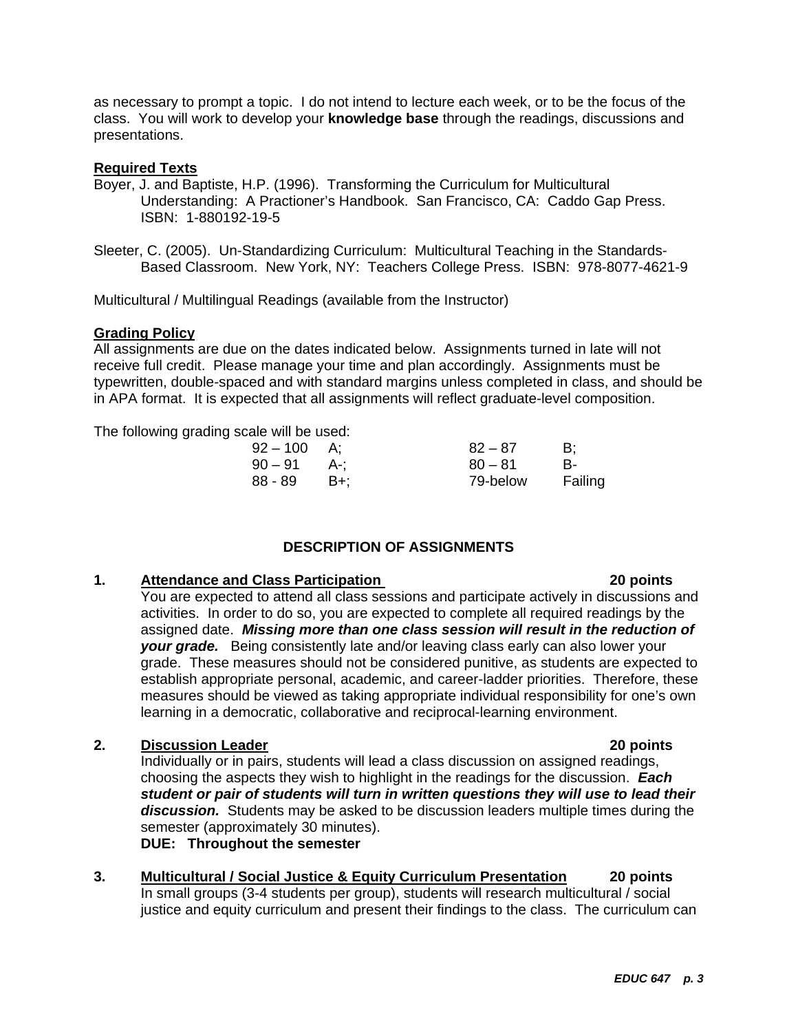as necessary to prompt a topic. I do not intend to lecture each week, or to be the focus of the class. You will work to develop your **knowledge base** through the readings, discussions and presentations.

### **Required Texts**

- Boyer, J. and Baptiste, H.P. (1996). Transforming the Curriculum for Multicultural Understanding: A Practioner's Handbook. San Francisco, CA: Caddo Gap Press. ISBN: 1-880192-19-5
- Sleeter, C. (2005). Un-Standardizing Curriculum: Multicultural Teaching in the Standards-Based Classroom. New York, NY: Teachers College Press. ISBN: 978-8077-4621-9

Multicultural / Multilingual Readings (available from the Instructor)

### **Grading Policy**

All assignments are due on the dates indicated below. Assignments turned in late will not receive full credit. Please manage your time and plan accordingly. Assignments must be typewritten, double-spaced and with standard margins unless completed in class, and should be in APA format. It is expected that all assignments will reflect graduate-level composition.

The following grading scale will be used:

| $92 - 100$ | A:    | $82 - 87$ | - B:    |
|------------|-------|-----------|---------|
| $90-91$    | - A-: | $80 - 81$ | B-      |
| 88 - 89    | B+:   | 79-below  | Failing |

# **DESCRIPTION OF ASSIGNMENTS**

# **1. Attendance and Class Participation 20 points**

You are expected to attend all class sessions and participate actively in discussions and activities. In order to do so, you are expected to complete all required readings by the assigned date. *Missing more than one class session will result in the reduction of your grade.* Being consistently late and/or leaving class early can also lower your grade. These measures should not be considered punitive, as students are expected to establish appropriate personal, academic, and career-ladder priorities. Therefore, these measures should be viewed as taking appropriate individual responsibility for one's own learning in a democratic, collaborative and reciprocal-learning environment.

### **2. Discussion Leader 20 points**

Individually or in pairs, students will lead a class discussion on assigned readings, choosing the aspects they wish to highlight in the readings for the discussion. *Each student or pair of students will turn in written questions they will use to lead their discussion.* Students may be asked to be discussion leaders multiple times during the semester (approximately 30 minutes).

**DUE: Throughout the semester** 

**3. Multicultural / Social Justice & Equity Curriculum Presentation 20 points**  In small groups (3-4 students per group), students will research multicultural / social justice and equity curriculum and present their findings to the class. The curriculum can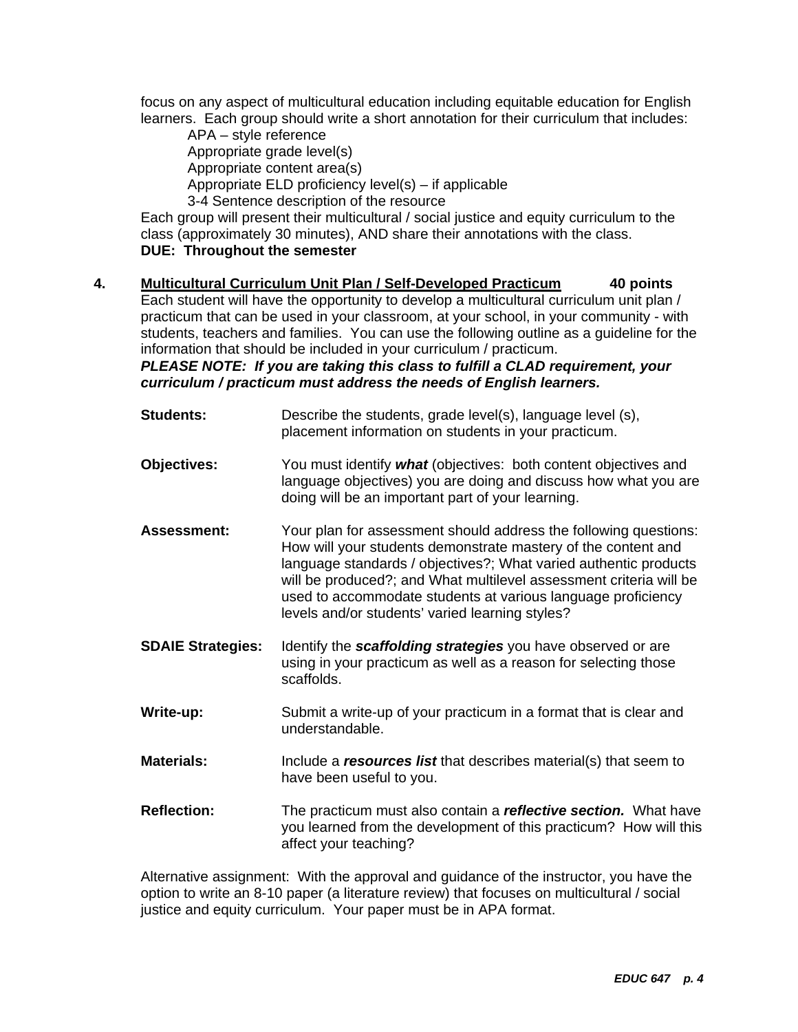focus on any aspect of multicultural education including equitable education for English learners. Each group should write a short annotation for their curriculum that includes:

 APA – style reference Appropriate grade level(s) Appropriate content area(s) Appropriate ELD proficiency level(s) – if applicable 3-4 Sentence description of the resource

Each group will present their multicultural / social justice and equity curriculum to the class (approximately 30 minutes), AND share their annotations with the class. **DUE: Throughout the semester** 

**4. Multicultural Curriculum Unit Plan / Self-Developed Practicum 40 points**  Each student will have the opportunity to develop a multicultural curriculum unit plan / practicum that can be used in your classroom, at your school, in your community - with students, teachers and families. You can use the following outline as a guideline for the information that should be included in your curriculum / practicum.

*PLEASE NOTE: If you are taking this class to fulfill a CLAD requirement, your curriculum / practicum must address the needs of English learners.* 

| <b>Students:</b>         | Describe the students, grade level(s), language level (s),<br>placement information on students in your practicum.                                                                                                                                                                                                                                                                             |
|--------------------------|------------------------------------------------------------------------------------------------------------------------------------------------------------------------------------------------------------------------------------------------------------------------------------------------------------------------------------------------------------------------------------------------|
| <b>Objectives:</b>       | You must identify what (objectives: both content objectives and<br>language objectives) you are doing and discuss how what you are<br>doing will be an important part of your learning.                                                                                                                                                                                                        |
| <b>Assessment:</b>       | Your plan for assessment should address the following questions:<br>How will your students demonstrate mastery of the content and<br>language standards / objectives?; What varied authentic products<br>will be produced?; and What multilevel assessment criteria will be<br>used to accommodate students at various language proficiency<br>levels and/or students' varied learning styles? |
| <b>SDAIE Strategies:</b> | Identify the scaffolding strategies you have observed or are<br>using in your practicum as well as a reason for selecting those<br>scaffolds.                                                                                                                                                                                                                                                  |
|                          |                                                                                                                                                                                                                                                                                                                                                                                                |
| Write-up:                | Submit a write-up of your practicum in a format that is clear and<br>understandable.                                                                                                                                                                                                                                                                                                           |
| <b>Materials:</b>        | Include a resources list that describes material(s) that seem to<br>have been useful to you.                                                                                                                                                                                                                                                                                                   |

Alternative assignment: With the approval and guidance of the instructor, you have the option to write an 8-10 paper (a literature review) that focuses on multicultural / social justice and equity curriculum. Your paper must be in APA format.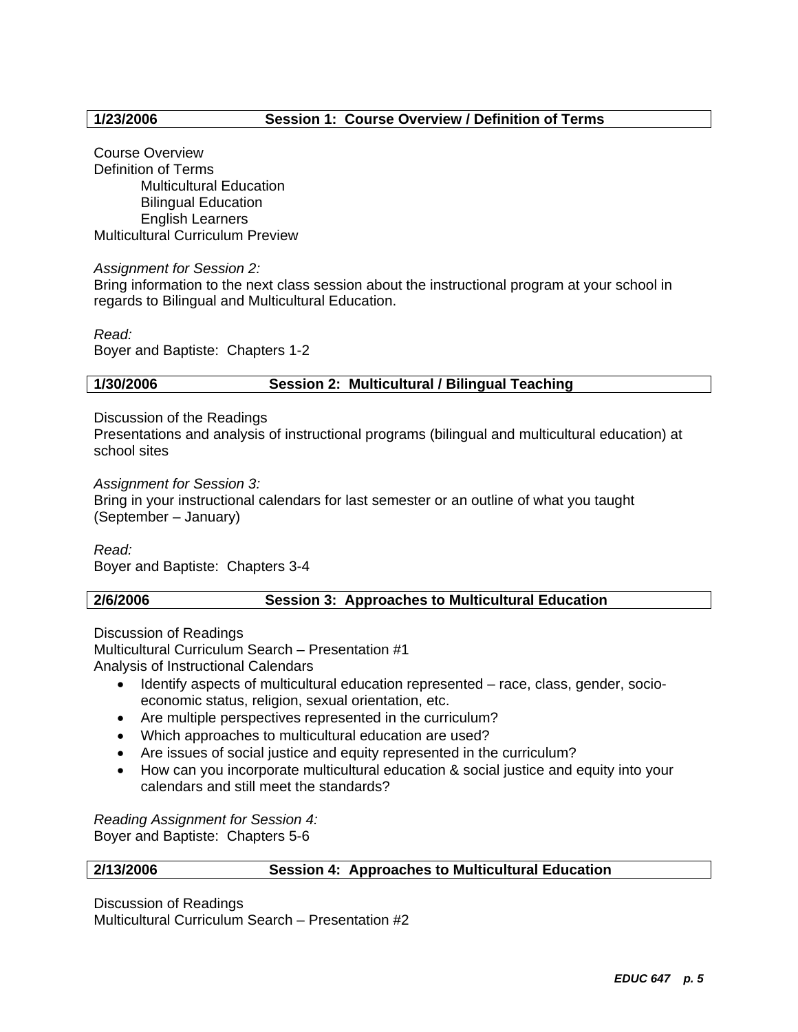# **1/23/2006 Session 1: Course Overview / Definition of Terms**

Course Overview Definition of Terms Multicultural Education Bilingual Education English Learners Multicultural Curriculum Preview

### *Assignment for Session 2:*

Bring information to the next class session about the instructional program at your school in regards to Bilingual and Multicultural Education.

*Read:* 

Boyer and Baptiste: Chapters 1-2

### **1/30/2006 Session 2: Multicultural / Bilingual Teaching**

Discussion of the Readings

Presentations and analysis of instructional programs (bilingual and multicultural education) at school sites

*Assignment for Session 3:* 

Bring in your instructional calendars for last semester or an outline of what you taught (September – January)

*Read:*  Boyer and Baptiste: Chapters 3-4

### **2/6/2006 Session 3: Approaches to Multicultural Education**

Discussion of Readings Multicultural Curriculum Search – Presentation #1 Analysis of Instructional Calendars

- Identify aspects of multicultural education represented race, class, gender, socioeconomic status, religion, sexual orientation, etc.
- Are multiple perspectives represented in the curriculum?
- Which approaches to multicultural education are used?
- Are issues of social justice and equity represented in the curriculum?
- How can you incorporate multicultural education & social justice and equity into your calendars and still meet the standards?

*Reading Assignment for Session 4:*  Boyer and Baptiste: Chapters 5-6

# **2/13/2006 Session 4: Approaches to Multicultural Education**

Discussion of Readings Multicultural Curriculum Search – Presentation #2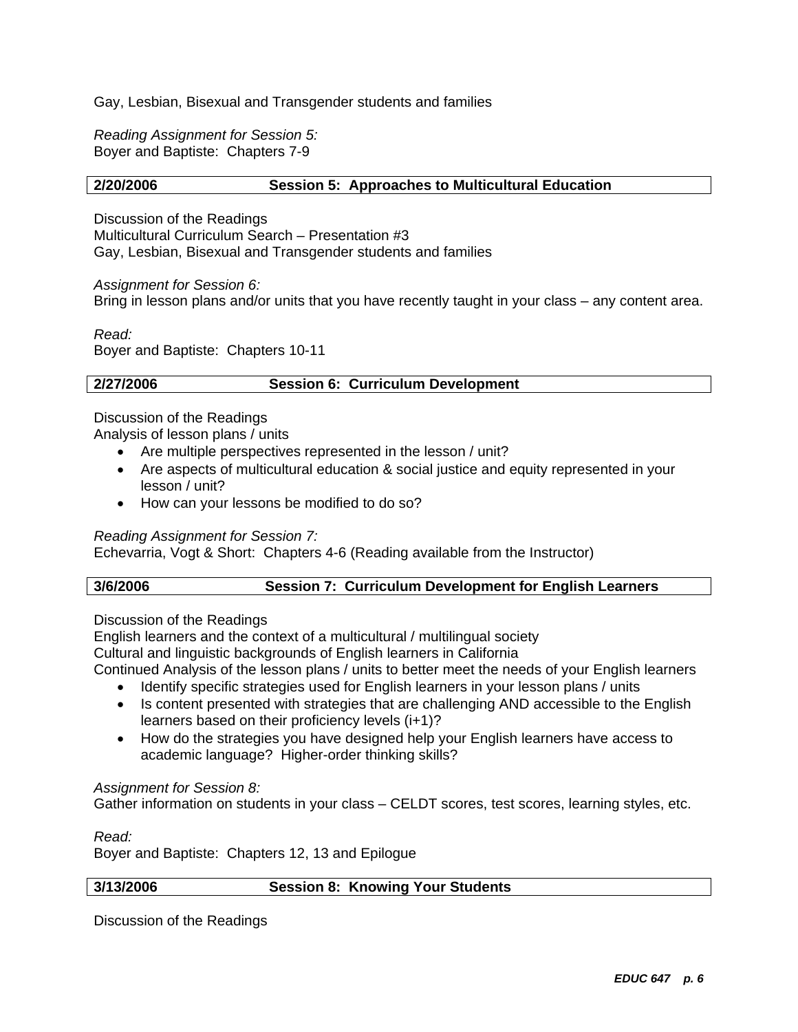Gay, Lesbian, Bisexual and Transgender students and families

*Reading Assignment for Session 5:*  Boyer and Baptiste: Chapters 7-9

### **2/20/2006 Session 5: Approaches to Multicultural Education**

Discussion of the Readings Multicultural Curriculum Search – Presentation #3 Gay, Lesbian, Bisexual and Transgender students and families

*Assignment for Session 6:*  Bring in lesson plans and/or units that you have recently taught in your class – any content area.

*Read:*  Boyer and Baptiste: Chapters 10-11

# **2/27/2006 Session 6: Curriculum Development**

Discussion of the Readings

Analysis of lesson plans / units

- Are multiple perspectives represented in the lesson / unit?
- Are aspects of multicultural education & social justice and equity represented in your lesson / unit?
- How can your lessons be modified to do so?

*Reading Assignment for Session 7:* 

Echevarria, Vogt & Short: Chapters 4-6 (Reading available from the Instructor)

### **3/6/2006 Session 7: Curriculum Development for English Learners**

Discussion of the Readings

English learners and the context of a multicultural / multilingual society

Cultural and linguistic backgrounds of English learners in California

Continued Analysis of the lesson plans / units to better meet the needs of your English learners

- Identify specific strategies used for English learners in your lesson plans / units
- Is content presented with strategies that are challenging AND accessible to the English learners based on their proficiency levels (i+1)?
- How do the strategies you have designed help your English learners have access to academic language? Higher-order thinking skills?

### *Assignment for Session 8:*

Gather information on students in your class – CELDT scores, test scores, learning styles, etc.

*Read:* 

Boyer and Baptiste: Chapters 12, 13 and Epilogue

### **3/13/2006 Session 8: Knowing Your Students**

Discussion of the Readings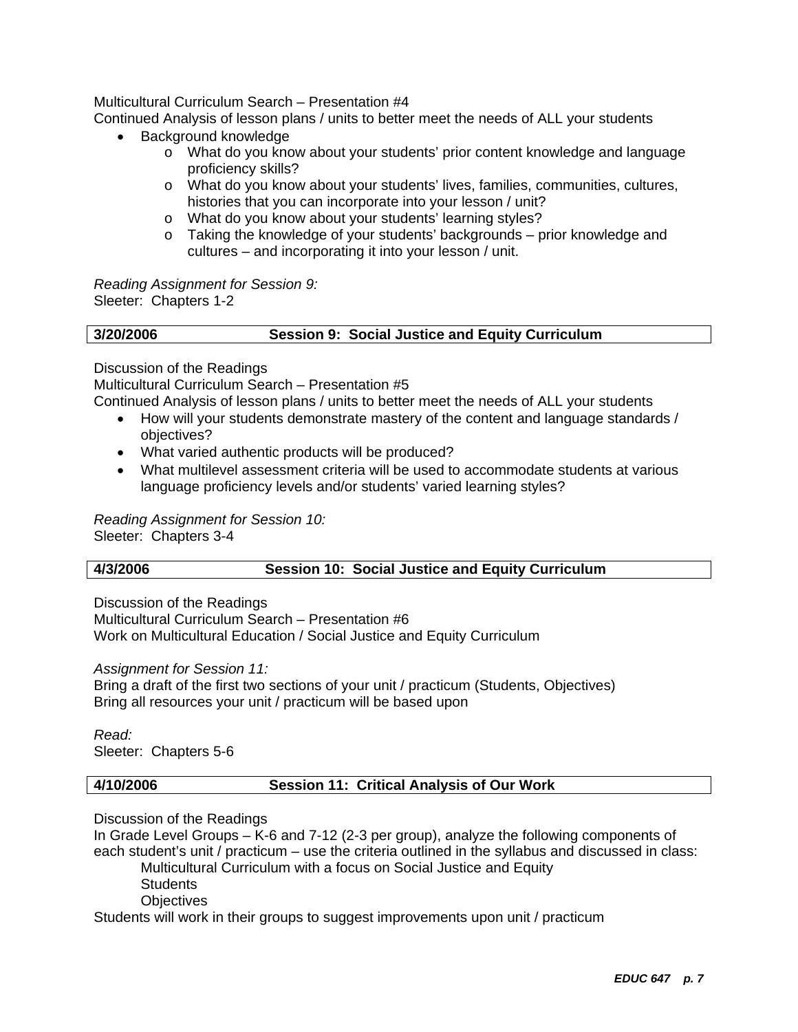# Multicultural Curriculum Search – Presentation #4

Continued Analysis of lesson plans / units to better meet the needs of ALL your students

- Background knowledge
	- o What do you know about your students' prior content knowledge and language proficiency skills?
	- o What do you know about your students' lives, families, communities, cultures, histories that you can incorporate into your lesson / unit?
	- o What do you know about your students' learning styles?
	- $\circ$  Taking the knowledge of your students' backgrounds prior knowledge and cultures – and incorporating it into your lesson / unit.

*Reading Assignment for Session 9:* Sleeter: Chapters 1-2

| 3/20/2006 | <b>Session 9: Social Justice and Equity Curriculum</b> |  |
|-----------|--------------------------------------------------------|--|
|           |                                                        |  |

Discussion of the Readings

Multicultural Curriculum Search – Presentation #5

Continued Analysis of lesson plans / units to better meet the needs of ALL your students

- How will your students demonstrate mastery of the content and language standards / objectives?
- What varied authentic products will be produced?
- What multilevel assessment criteria will be used to accommodate students at various language proficiency levels and/or students' varied learning styles?

*Reading Assignment for Session 10:*  Sleeter: Chapters 3-4

# **4/3/2006 Session 10: Social Justice and Equity Curriculum**

Discussion of the Readings

Multicultural Curriculum Search – Presentation #6 Work on Multicultural Education / Social Justice and Equity Curriculum

*Assignment for Session 11:* 

Bring a draft of the first two sections of your unit / practicum (Students, Objectives) Bring all resources your unit / practicum will be based upon

*Read:*  Sleeter: Chapters 5-6

# **4/10/2006 Session 11: Critical Analysis of Our Work**

Discussion of the Readings

In Grade Level Groups – K-6 and 7-12 (2-3 per group), analyze the following components of each student's unit / practicum – use the criteria outlined in the syllabus and discussed in class: Multicultural Curriculum with a focus on Social Justice and Equity **Students Objectives** 

Students will work in their groups to suggest improvements upon unit / practicum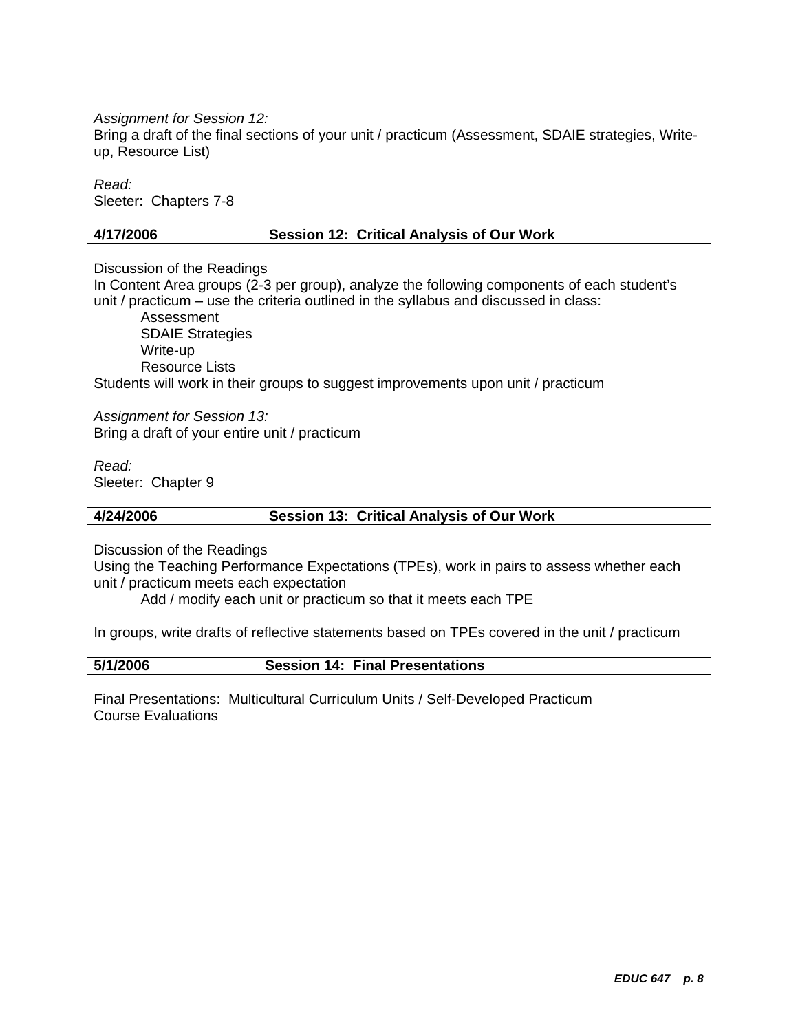*Assignment for Session 12:* 

Bring a draft of the final sections of your unit / practicum (Assessment, SDAIE strategies, Writeup, Resource List)

*Read:*  Sleeter: Chapters 7-8

### **4/17/2006 Session 12: Critical Analysis of Our Work**

Discussion of the Readings

In Content Area groups (2-3 per group), analyze the following components of each student's unit / practicum – use the criteria outlined in the syllabus and discussed in class:

Assessment SDAIE Strategies Write-up Resource Lists Students will work in their groups to suggest improvements upon unit / practicum

*Assignment for Session 13:*  Bring a draft of your entire unit / practicum

*Read:*  Sleeter: Chapter 9

### **4/24/2006 Session 13: Critical Analysis of Our Work**

Discussion of the Readings

Using the Teaching Performance Expectations (TPEs), work in pairs to assess whether each unit / practicum meets each expectation

Add / modify each unit or practicum so that it meets each TPE

In groups, write drafts of reflective statements based on TPEs covered in the unit / practicum

**5/1/2006 Session 14: Final Presentations** 

Final Presentations: Multicultural Curriculum Units / Self-Developed Practicum Course Evaluations